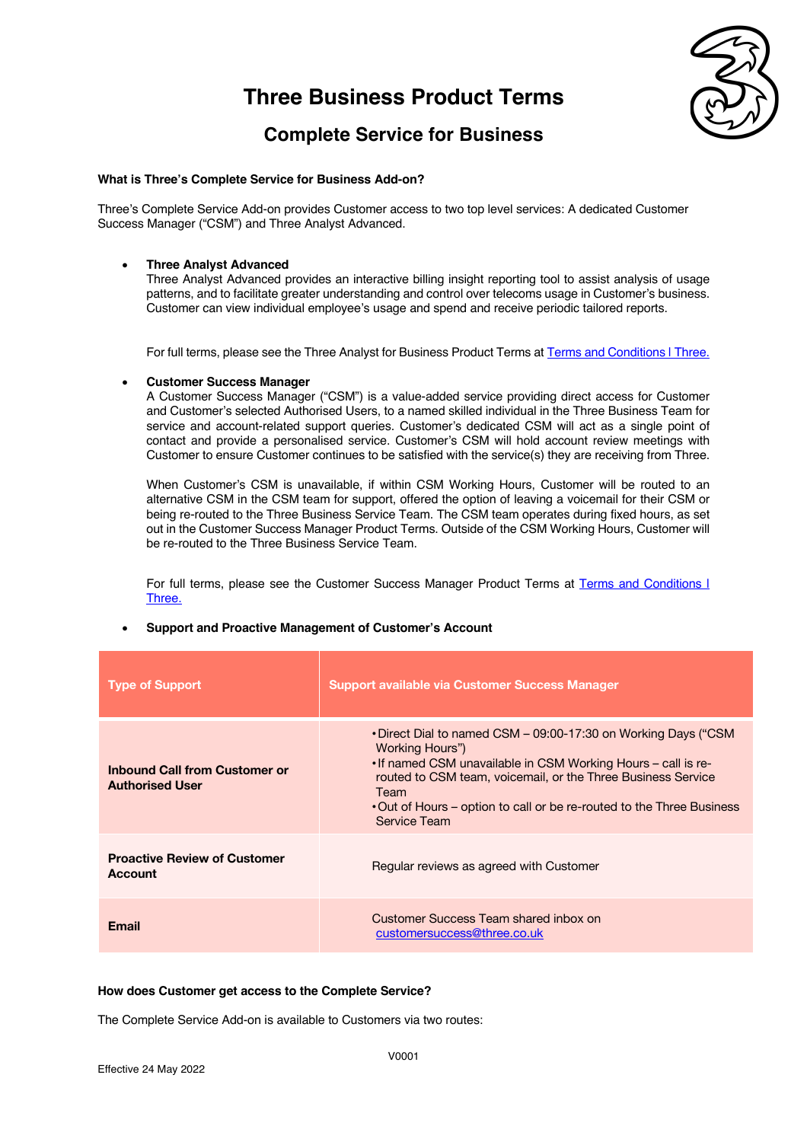

## **Complete Service for Business**

#### **What is Three's Complete Service for Business Add-on?**

Three's Complete Service Add-on provides Customer access to two top level services: A dedicated Customer Success Manager ("CSM") and Three Analyst Advanced.

#### • **Three Analyst Advanced**

Three Analyst Advanced provides an interactive billing insight reporting tool to assist analysis of usage patterns, and to facilitate greater understanding and control over telecoms usage in Customer's business. Customer can view individual employee's usage and spend and receive periodic tailored reports.

For full terms, please see the Three Analyst for Business Product Terms at Terms and Conditions | Three.

#### • **Customer Success Manager**

A Customer Success Manager ("CSM") is a value-added service providing direct access for Customer and Customer's selected Authorised Users, to a named skilled individual in the Three Business Team for service and account-related support queries. Customer's dedicated CSM will act as a single point of contact and provide a personalised service. Customer's CSM will hold account review meetings with Customer to ensure Customer continues to be satisfied with the service(s) they are receiving from Three.

When Customer's CSM is unavailable, if within CSM Working Hours, Customer will be routed to an alternative CSM in the CSM team for support, offered the option of leaving a voicemail for their CSM or being re-routed to the Three Business Service Team. The CSM team operates during fixed hours, as set out in the Customer Success Manager Product Terms. Outside of the CSM Working Hours, Customer will be re-routed to the Three Business Service Team.

For full terms, please see the Customer Success Manager Product Terms at Terms and Conditions I Three.

| <b>Type of Support</b>                                         | Support available via Customer Success Manager                                                                                                                                                                                                                                                                      |
|----------------------------------------------------------------|---------------------------------------------------------------------------------------------------------------------------------------------------------------------------------------------------------------------------------------------------------------------------------------------------------------------|
| <b>Inbound Call from Customer or</b><br><b>Authorised User</b> | • Direct Dial to named CSM – 09:00-17:30 on Working Days ("CSM<br>Working Hours")<br>• If named CSM unavailable in CSM Working Hours – call is re-<br>routed to CSM team, voicemail, or the Three Business Service<br>Team<br>• Out of Hours – option to call or be re-routed to the Three Business<br>Service Team |
| <b>Proactive Review of Customer</b><br>Account                 | Regular reviews as agreed with Customer                                                                                                                                                                                                                                                                             |
| Email                                                          | Customer Success Team shared inbox on<br>customersuccess@three.co.uk                                                                                                                                                                                                                                                |

#### • **Support and Proactive Management of Customer's Account**

#### **How does Customer get access to the Complete Service?**

The Complete Service Add-on is available to Customers via two routes: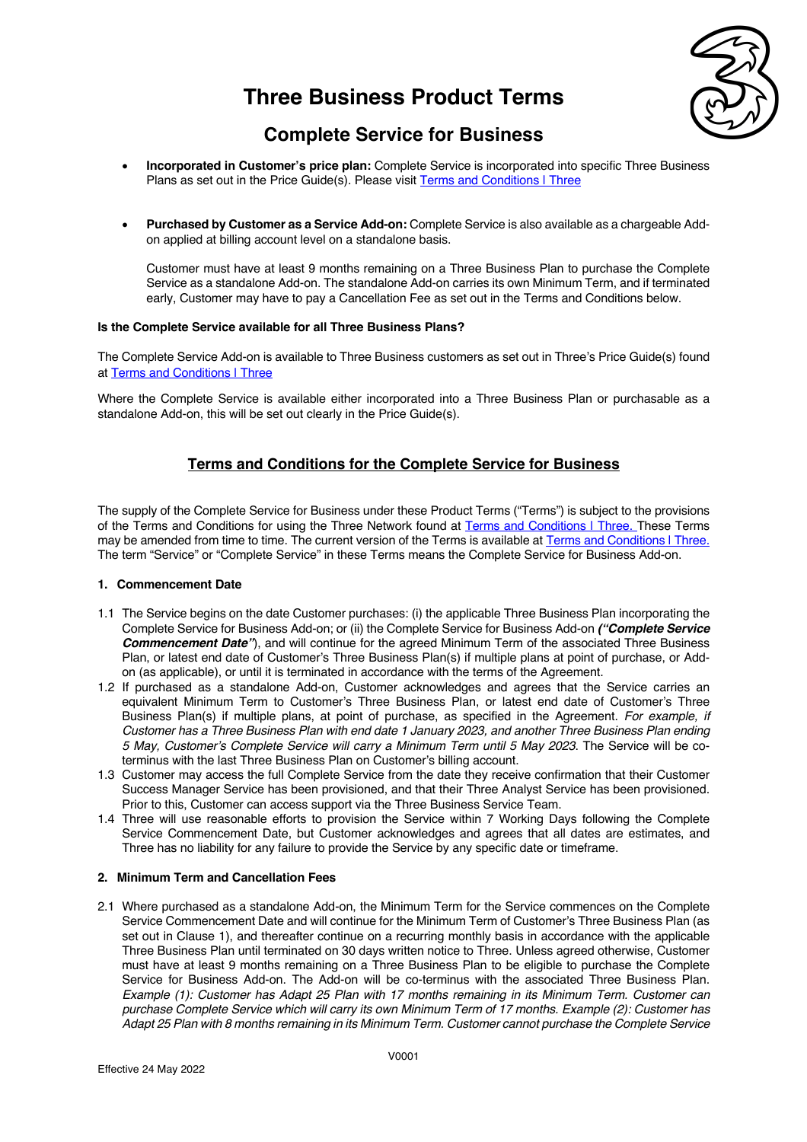

## **Complete Service for Business**

- **Incorporated in Customer's price plan:** Complete Service is incorporated into specific Three Business Plans as set out in the Price Guide(s). Please visit Terms and Conditions | Three
- **Purchased by Customer as a Service Add-on:** Complete Service is also available as a chargeable Addon applied at billing account level on a standalone basis.

Customer must have at least 9 months remaining on a Three Business Plan to purchase the Complete Service as a standalone Add-on. The standalone Add-on carries its own Minimum Term, and if terminated early, Customer may have to pay a Cancellation Fee as set out in the Terms and Conditions below.

#### **Is the Complete Service available for all Three Business Plans?**

The Complete Service Add-on is available to Three Business customers as set out in Three's Price Guide(s) found at Terms and Conditions I Three

Where the Complete Service is available either incorporated into a Three Business Plan or purchasable as a standalone Add-on, this will be set out clearly in the Price Guide(s).

## **Terms and Conditions for the Complete Service for Business**

The supply of the Complete Service for Business under these Product Terms ("Terms") is subject to the provisions of the Terms and Conditions for using the Three Network found at Terms and Conditions | Three. These Terms may be amended from time to time. The current version of the Terms is available at Terms and Conditions | Three. The term "Service" or "Complete Service" in these Terms means the Complete Service for Business Add-on.

### **1. Commencement Date**

- 1.1 The Service begins on the date Customer purchases: (i) the applicable Three Business Plan incorporating the Complete Service for Business Add-on; or (ii) the Complete Service for Business Add-on *("Complete Service Commencement Date"*), and will continue for the agreed Minimum Term of the associated Three Business Plan, or latest end date of Customer's Three Business Plan(s) if multiple plans at point of purchase, or Addon (as applicable), or until it is terminated in accordance with the terms of the Agreement.
- 1.2 If purchased as a standalone Add-on, Customer acknowledges and agrees that the Service carries an equivalent Minimum Term to Customer's Three Business Plan, or latest end date of Customer's Three Business Plan(s) if multiple plans, at point of purchase, as specified in the Agreement. *For example, if Customer has a Three Business Plan with end date 1 January 2023, and another Three Business Plan ending 5 May, Customer's Complete Service will carry a Minimum Term until 5 May 2023*. The Service will be coterminus with the last Three Business Plan on Customer's billing account.
- 1.3 Customer may access the full Complete Service from the date they receive confirmation that their Customer Success Manager Service has been provisioned, and that their Three Analyst Service has been provisioned. Prior to this, Customer can access support via the Three Business Service Team.
- 1.4 Three will use reasonable efforts to provision the Service within 7 Working Days following the Complete Service Commencement Date, but Customer acknowledges and agrees that all dates are estimates, and Three has no liability for any failure to provide the Service by any specific date or timeframe.

### **2. Minimum Term and Cancellation Fees**

2.1 Where purchased as a standalone Add-on, the Minimum Term for the Service commences on the Complete Service Commencement Date and will continue for the Minimum Term of Customer's Three Business Plan (as set out in Clause 1), and thereafter continue on a recurring monthly basis in accordance with the applicable Three Business Plan until terminated on 30 days written notice to Three. Unless agreed otherwise, Customer must have at least 9 months remaining on a Three Business Plan to be eligible to purchase the Complete Service for Business Add-on. The Add-on will be co-terminus with the associated Three Business Plan. *Example (1): Customer has Adapt 25 Plan with 17 months remaining in its Minimum Term. Customer can purchase Complete Service which will carry its own Minimum Term of 17 months. Example (2): Customer has Adapt 25 Plan with 8 months remaining in its Minimum Term. Customer cannot purchase the Complete Service*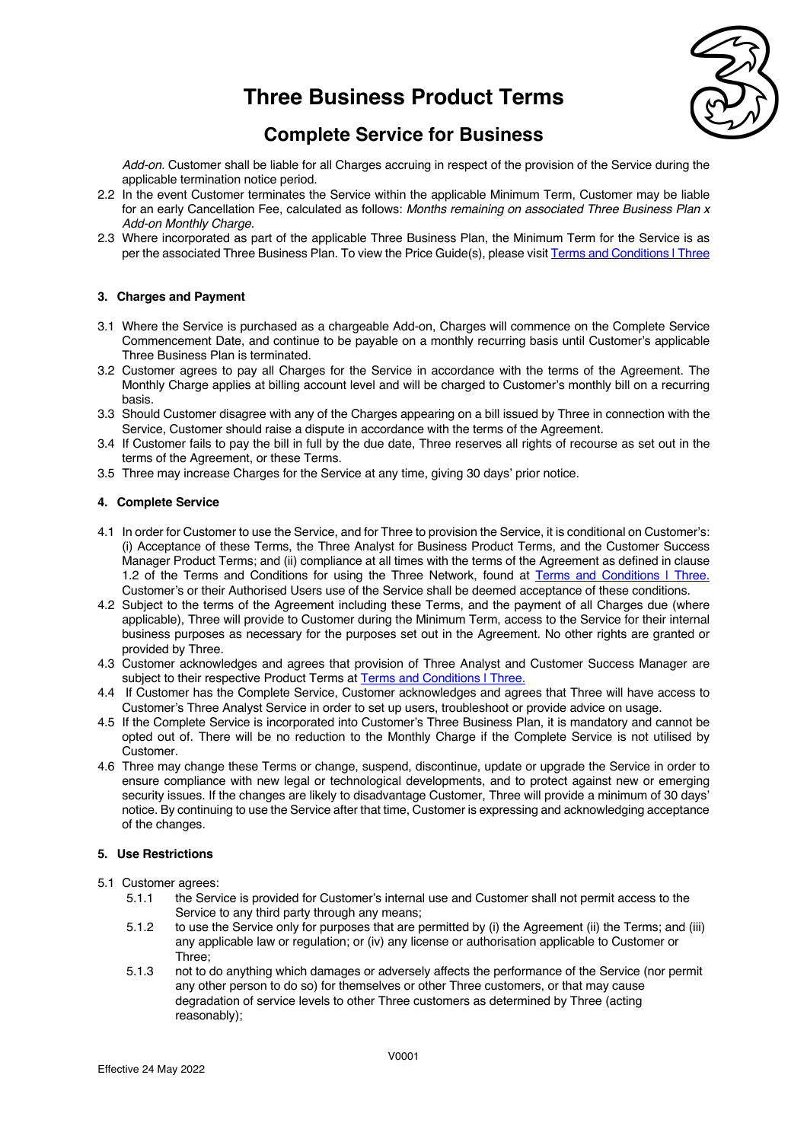

## **Complete Service for Business**

*Add-on.* Customer shall be liable for all Charges accruing in respect of the provision of the Service during the applicable termination notice period.

- 2.2 In the event Customer terminates the Service within the applicable Minimum Term, Customer may be liable for an early Cancellation Fee, calculated as follows: *Months remaining on associated Three Business Plan x Add-on Monthly Charge.*
- 2.3 Where incorporated as part of the applicable Three Business Plan, the Minimum Term for the Service is as per the associated Three Business Plan. To view the Price Guide(s), please visit Terms and Conditions | Three

### **3. Charges and Payment**

- 3.1 Where the Service is purchased as a chargeable Add-on, Charges will commence on the Complete Service Commencement Date, and continue to be payable on a monthly recurring basis until Customer's applicable Three Business Plan is terminated.
- 3.2 Customer agrees to pay all Charges for the Service in accordance with the terms of the Agreement. The Monthly Charge applies at billing account level and will be charged to Customer's monthly bill on a recurring basis.
- 3.3 Should Customer disagree with any of the Charges appearing on a bill issued by Three in connection with the Service, Customer should raise a dispute in accordance with the terms of the Agreement.
- 3.4 If Customer fails to pay the bill in full by the due date, Three reserves all rights of recourse as set out in the terms of the Agreement, or these Terms.
- 3.5 Three may increase Charges for the Service at any time, giving 30 days' prior notice.

### **4. Complete Service**

- 4.1 In order for Customer to use the Service, and for Three to provision the Service, it is conditional on Customer's: (i) Acceptance of these Terms, the Three Analyst for Business Product Terms, and the Customer Success Manager Product Terms; and (ii) compliance at all times with the terms of the Agreement as defined in clause 1.2 of the Terms and Conditions for using the Three Network, found at Terms and Conditions | Three. Customer's or their Authorised Users use of the Service shall be deemed acceptance of these conditions.
- 4.2 Subject to the terms of the Agreement including these Terms, and the payment of all Charges due (where applicable), Three will provide to Customer during the Minimum Term, access to the Service for their internal business purposes as necessary for the purposes set out in the Agreement. No other rights are granted or provided by Three.
- 4.3 Customer acknowledges and agrees that provision of Three Analyst and Customer Success Manager are subject to their respective Product Terms at Terms and Conditions | Three.
- 4.4 If Customer has the Complete Service, Customer acknowledges and agrees that Three will have access to Customer's Three Analyst Service in order to set up users, troubleshoot or provide advice on usage.
- 4.5 If the Complete Service is incorporated into Customer's Three Business Plan, it is mandatory and cannot be opted out of. There will be no reduction to the Monthly Charge if the Complete Service is not utilised by Customer.
- 4.6 Three may change these Terms or change, suspend, discontinue, update or upgrade the Service in order to ensure compliance with new legal or technological developments, and to protect against new or emerging security issues. If the changes are likely to disadvantage Customer. Three will provide a minimum of 30 days' notice. By continuing to use the Service after that time, Customer is expressing and acknowledging acceptance of the changes.

### **5. Use Restrictions**

- 5.1 Customer agrees:
	- 5.1.1 the Service is provided for Customer's internal use and Customer shall not permit access to the Service to any third party through any means;
	- 5.1.2 to use the Service only for purposes that are permitted by (i) the Agreement (ii) the Terms; and (iii) any applicable law or regulation; or (iv) any license or authorisation applicable to Customer or Three;
	- 5.1.3 not to do anything which damages or adversely affects the performance of the Service (nor permit any other person to do so) for themselves or other Three customers, or that may cause degradation of service levels to other Three customers as determined by Three (acting reasonably);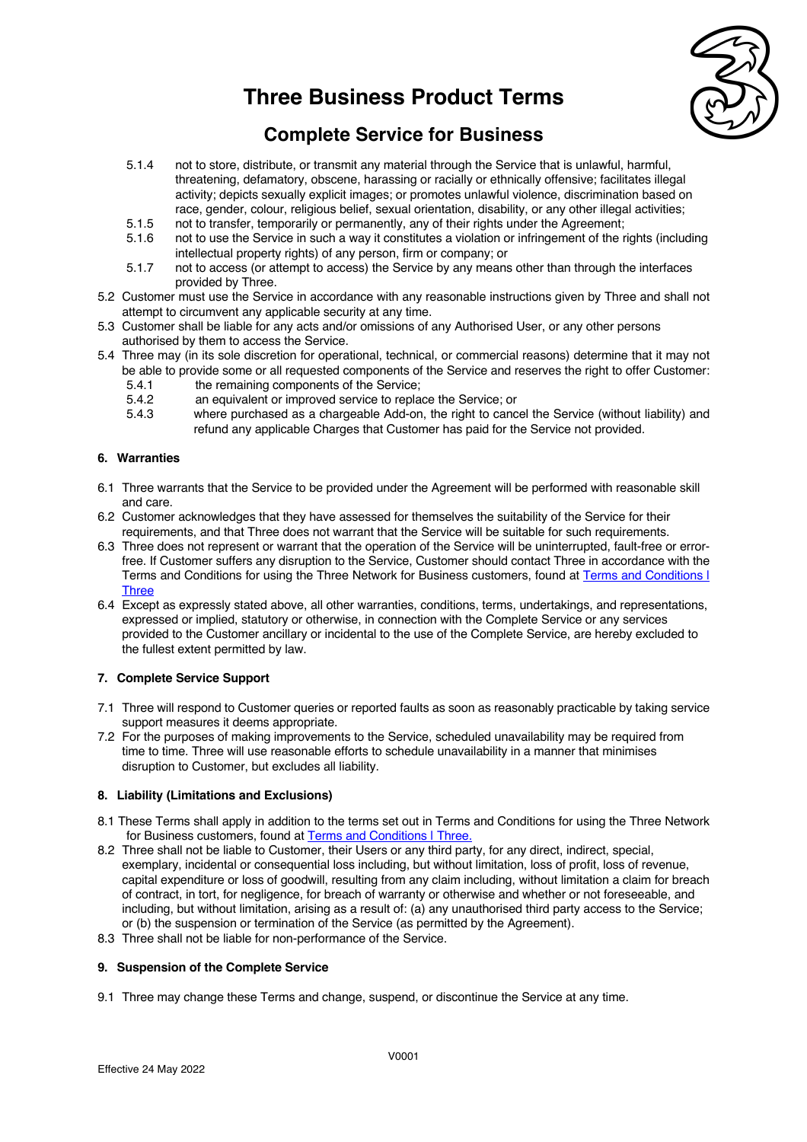

# **Complete Service for Business**

- 5.1.4 not to store, distribute, or transmit any material through the Service that is unlawful, harmful, threatening, defamatory, obscene, harassing or racially or ethnically offensive; facilitates illegal activity; depicts sexually explicit images; or promotes unlawful violence, discrimination based on race, gender, colour, religious belief, sexual orientation, disability, or any other illegal activities;
- 5.1.5 not to transfer, temporarily or permanently, any of their rights under the Agreement;
- 5.1.6 not to use the Service in such a way it constitutes a violation or infringement of the rights (including intellectual property rights) of any person, firm or company; or
- 5.1.7 not to access (or attempt to access) the Service by any means other than through the interfaces provided by Three.
- 5.2 Customer must use the Service in accordance with any reasonable instructions given by Three and shall not attempt to circumvent any applicable security at any time.
- 5.3 Customer shall be liable for any acts and/or omissions of any Authorised User, or any other persons authorised by them to access the Service.
- 5.4 Three may (in its sole discretion for operational, technical, or commercial reasons) determine that it may not be able to provide some or all requested components of the Service and reserves the right to offer Customer:
	- 5.4.1 the remaining components of the Service;
	- 5.4.2 an equivalent or improved service to replace the Service; or
	- 5.4.3 where purchased as a chargeable Add-on, the right to cancel the Service (without liability) and refund any applicable Charges that Customer has paid for the Service not provided.

### **6. Warranties**

- 6.1 Three warrants that the Service to be provided under the Agreement will be performed with reasonable skill and care.
- 6.2 Customer acknowledges that they have assessed for themselves the suitability of the Service for their requirements, and that Three does not warrant that the Service will be suitable for such requirements.
- 6.3 Three does not represent or warrant that the operation of the Service will be uninterrupted, fault-free or errorfree. If Customer suffers any disruption to the Service, Customer should contact Three in accordance with the Terms and Conditions for using the Three Network for Business customers, found at Terms and Conditions | **Three**
- 6.4 Except as expressly stated above, all other warranties, conditions, terms, undertakings, and representations, expressed or implied, statutory or otherwise, in connection with the Complete Service or any services provided to the Customer ancillary or incidental to the use of the Complete Service, are hereby excluded to the fullest extent permitted by law.

### **7. Complete Service Support**

- 7.1 Three will respond to Customer queries or reported faults as soon as reasonably practicable by taking service support measures it deems appropriate.
- 7.2 For the purposes of making improvements to the Service, scheduled unavailability may be required from time to time. Three will use reasonable efforts to schedule unavailability in a manner that minimises disruption to Customer, but excludes all liability.

### **8. Liability (Limitations and Exclusions)**

- 8.1 These Terms shall apply in addition to the terms set out in Terms and Conditions for using the Three Network for Business customers, found at Terms and Conditions | Three.
- 8.2 Three shall not be liable to Customer, their Users or any third party, for any direct, indirect, special, exemplary, incidental or consequential loss including, but without limitation, loss of profit, loss of revenue, capital expenditure or loss of goodwill, resulting from any claim including, without limitation a claim for breach of contract, in tort, for negligence, for breach of warranty or otherwise and whether or not foreseeable, and including, but without limitation, arising as a result of: (a) any unauthorised third party access to the Service; or (b) the suspension or termination of the Service (as permitted by the Agreement).
- 8.3 Three shall not be liable for non-performance of the Service.

#### **9. Suspension of the Complete Service**

9.1 Three may change these Terms and change, suspend, or discontinue the Service at any time.